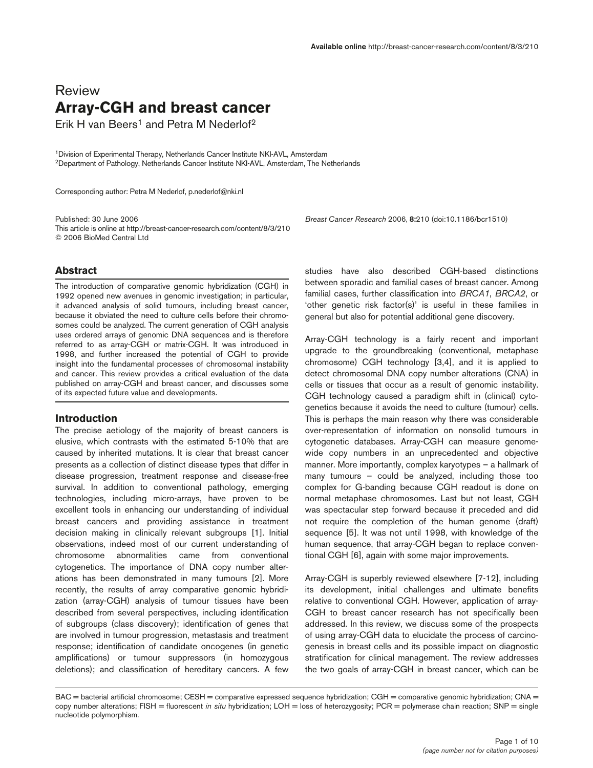# Review **Array-CGH and breast cancer**

Erik H van Beers<sup>1</sup> and Petra M Nederlof<sup>2</sup>

1Division of Experimental Therapy, Netherlands Cancer Institute NKI-AVL, Amsterdam 2Department of Pathology, Netherlands Cancer Institute NKI-AVL, Amsterdam, The Netherlands

Corresponding author: Petra M Nederlof, p.nederlof@nki.nl

Published: 30 June 2006 *Breast Cancer Research* 2006, **8:**210 (doi:10.1186/bcr1510) This article is online at http://breast-cancer-research.com/content/8/3/210 © 2006 BioMed Central Ltd

# **Abstract**

The introduction of comparative genomic hybridization (CGH) in 1992 opened new avenues in genomic investigation; in particular, it advanced analysis of solid tumours, including breast cancer, because it obviated the need to culture cells before their chromosomes could be analyzed. The current generation of CGH analysis uses ordered arrays of genomic DNA sequences and is therefore referred to as array-CGH or matrix-CGH. It was introduced in 1998, and further increased the potential of CGH to provide insight into the fundamental processes of chromosomal instability and cancer. This review provides a critical evaluation of the data published on array-CGH and breast cancer, and discusses some of its expected future value and developments.

# **Introduction**

The precise aetiology of the majority of breast cancers is elusive, which contrasts with the estimated 5-10% that are caused by inherited mutations. It is clear that breast cancer presents as a collection of distinct disease types that differ in disease progression, treatment response and disease-free survival. In addition to conventional pathology, emerging technologies, including micro-arrays, have proven to be excellent tools in enhancing our understanding of individual breast cancers and providing assistance in treatment decision making in clinically relevant subgroups [1]. Initial observations, indeed most of our current understanding of chromosome abnormalities came from conventional cytogenetics. The importance of DNA copy number alterations has been demonstrated in many tumours [2]. More recently, the results of array comparative genomic hybridization (array-CGH) analysis of tumour tissues have been described from several perspectives, including identification of subgroups (class discovery); identification of genes that are involved in tumour progression, metastasis and treatment response; identification of candidate oncogenes (in genetic amplifications) or tumour suppressors (in homozygous deletions); and classification of hereditary cancers. A few

studies have also described CGH-based distinctions between sporadic and familial cases of breast cancer. Among familial cases, further classification into *BRCA1*, *BRCA2*, or 'other genetic risk factor(s)' is useful in these families in general but also for potential additional gene discovery.

Array-CGH technology is a fairly recent and important upgrade to the groundbreaking (conventional, metaphase chromosome) CGH technology [3,4], and it is applied to detect chromosomal DNA copy number alterations (CNA) in cells or tissues that occur as a result of genomic instability. CGH technology caused a paradigm shift in (clinical) cytogenetics because it avoids the need to culture (tumour) cells. This is perhaps the main reason why there was considerable over-representation of information on nonsolid tumours in cytogenetic databases. Array-CGH can measure genomewide copy numbers in an unprecedented and objective manner. More importantly, complex karyotypes – a hallmark of many tumours – could be analyzed, including those too complex for G-banding because CGH readout is done on normal metaphase chromosomes. Last but not least, CGH was spectacular step forward because it preceded and did not require the completion of the human genome (draft) sequence [5]. It was not until 1998, with knowledge of the human sequence, that array-CGH began to replace conventional CGH [6], again with some major improvements.

Array-CGH is superbly reviewed elsewhere [7-12], including its development, initial challenges and ultimate benefits relative to conventional CGH. However, application of array-CGH to breast cancer research has not specifically been addressed. In this review, we discuss some of the prospects of using array-CGH data to elucidate the process of carcinogenesis in breast cells and its possible impact on diagnostic stratification for clinical management. The review addresses the two goals of array-CGH in breast cancer, which can be

BAC = bacterial artificial chromosome; CESH = comparative expressed sequence hybridization; CGH = comparative genomic hybridization; CNA = copy number alterations; FISH = fluorescent *in situ* hybridization; LOH = loss of heterozygosity; PCR = polymerase chain reaction; SNP = single nucleotide polymorphism.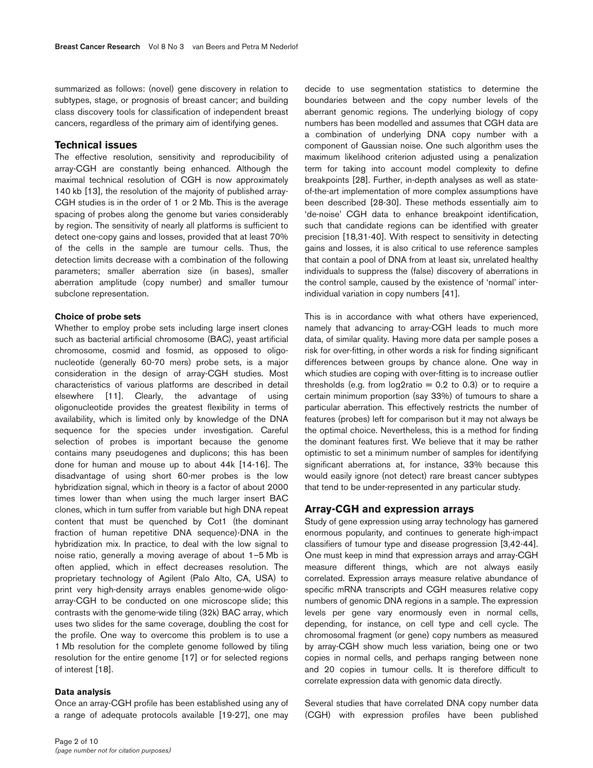summarized as follows: (novel) gene discovery in relation to subtypes, stage, or prognosis of breast cancer; and building class discovery tools for classification of independent breast cancers, regardless of the primary aim of identifying genes.

# **Technical issues**

The effective resolution, sensitivity and reproducibility of array-CGH are constantly being enhanced. Although the maximal technical resolution of CGH is now approximately 140 kb [13], the resolution of the majority of published array-CGH studies is in the order of 1 or 2 Mb. This is the average spacing of probes along the genome but varies considerably by region. The sensitivity of nearly all platforms is sufficient to detect one-copy gains and losses, provided that at least 70% of the cells in the sample are tumour cells. Thus, the detection limits decrease with a combination of the following parameters; smaller aberration size (in bases), smaller aberration amplitude (copy number) and smaller tumour subclone representation.

#### **Choice of probe sets**

Whether to employ probe sets including large insert clones such as bacterial artificial chromosome (BAC), yeast artificial chromosome, cosmid and fosmid, as opposed to oligonucleotide (generally 60-70 mers) probe sets, is a major consideration in the design of array-CGH studies. Most characteristics of various platforms are described in detail elsewhere [11]. Clearly, the advantage of using oligonucleotide provides the greatest flexibility in terms of availability, which is limited only by knowledge of the DNA sequence for the species under investigation. Careful selection of probes is important because the genome contains many pseudogenes and duplicons; this has been done for human and mouse up to about 44k [14-16]. The disadvantage of using short 60-mer probes is the low hybridization signal, which in theory is a factor of about 2000 times lower than when using the much larger insert BAC clones, which in turn suffer from variable but high DNA repeat content that must be quenched by Cot1 (the dominant fraction of human repetitive DNA sequence)-DNA in the hybridization mix. In practice, to deal with the low signal to noise ratio, generally a moving average of about 1–5 Mb is often applied, which in effect decreases resolution. The proprietary technology of Agilent (Palo Alto, CA, USA) to print very high-density arrays enables genome-wide oligoarray-CGH to be conducted on one microscope slide; this contrasts with the genome-wide tiling (32k) BAC array, which uses two slides for the same coverage, doubling the cost for the profile. One way to overcome this problem is to use a 1 Mb resolution for the complete genome followed by tiling resolution for the entire genome [17] or for selected regions of interest [18].

### **Data analysis**

Once an array-CGH profile has been established using any of a range of adequate protocols available [19-27], one may decide to use segmentation statistics to determine the boundaries between and the copy number levels of the aberrant genomic regions. The underlying biology of copy numbers has been modelled and assumes that CGH data are a combination of underlying DNA copy number with a component of Gaussian noise. One such algorithm uses the maximum likelihood criterion adjusted using a penalization term for taking into account model complexity to define breakpoints [28]. Further, in-depth analyses as well as stateof-the-art implementation of more complex assumptions have been described [28-30]. These methods essentially aim to 'de-noise' CGH data to enhance breakpoint identification, such that candidate regions can be identified with greater precision [18,31-40]. With respect to sensitivity in detecting gains and losses, it is also critical to use reference samples that contain a pool of DNA from at least six, unrelated healthy individuals to suppress the (false) discovery of aberrations in the control sample, caused by the existence of 'normal' interindividual variation in copy numbers [41].

This is in accordance with what others have experienced, namely that advancing to array-CGH leads to much more data, of similar quality. Having more data per sample poses a risk for over-fitting, in other words a risk for finding significant differences between groups by chance alone. One way in which studies are coping with over-fitting is to increase outlier thresholds (e.g. from  $log2$ ratio = 0.2 to 0.3) or to require a certain minimum proportion (say 33%) of tumours to share a particular aberration. This effectively restricts the number of features (probes) left for comparison but it may not always be the optimal choice. Nevertheless, this is a method for finding the dominant features first. We believe that it may be rather optimistic to set a minimum number of samples for identifying significant aberrations at, for instance, 33% because this would easily ignore (not detect) rare breast cancer subtypes that tend to be under-represented in any particular study.

# **Array-CGH and expression arrays**

Study of gene expression using array technology has garnered enormous popularity, and continues to generate high-impact classifiers of tumour type and disease progression [3,42-44]. One must keep in mind that expression arrays and array-CGH measure different things, which are not always easily correlated. Expression arrays measure relative abundance of specific mRNA transcripts and CGH measures relative copy numbers of genomic DNA regions in a sample. The expression levels per gene vary enormously even in normal cells, depending, for instance, on cell type and cell cycle. The chromosomal fragment (or gene) copy numbers as measured by array-CGH show much less variation, being one or two copies in normal cells, and perhaps ranging between none and 20 copies in tumour cells. It is therefore difficult to correlate expression data with genomic data directly.

Several studies that have correlated DNA copy number data (CGH) with expression profiles have been published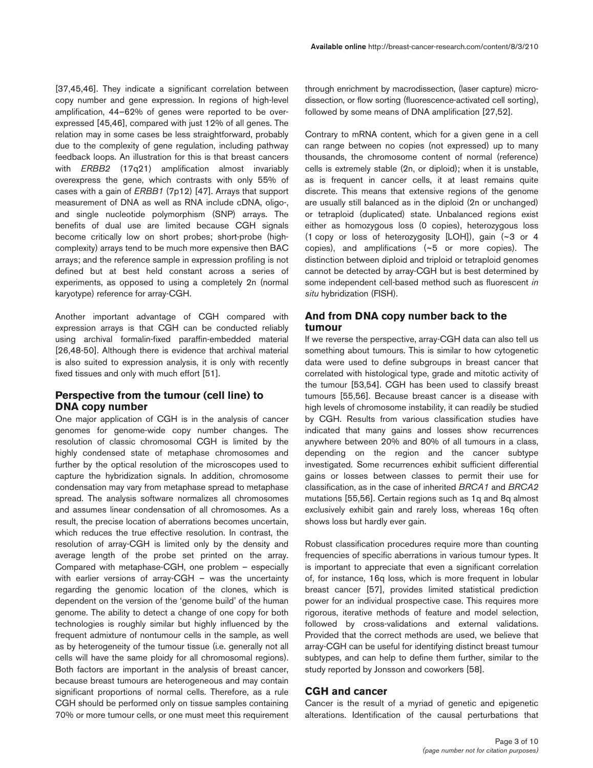[37,45,46]. They indicate a significant correlation between copy number and gene expression. In regions of high-level amplification, 44–62% of genes were reported to be overexpressed [45,46], compared with just 12% of all genes. The relation may in some cases be less straightforward, probably due to the complexity of gene regulation, including pathway feedback loops. An illustration for this is that breast cancers with *ERBB2* (17q21) amplification almost invariably overexpress the gene, which contrasts with only 55% of cases with a gain of *ERBB1* (7p12) [47]. Arrays that support measurement of DNA as well as RNA include cDNA, oligo-, and single nucleotide polymorphism (SNP) arrays. The benefits of dual use are limited because CGH signals become critically low on short probes; short-probe (highcomplexity) arrays tend to be much more expensive then BAC arrays; and the reference sample in expression profiling is not defined but at best held constant across a series of experiments, as opposed to using a completely 2n (normal karyotype) reference for array-CGH.

Another important advantage of CGH compared with expression arrays is that CGH can be conducted reliably using archival formalin-fixed paraffin-embedded material [26,48-50]. Although there is evidence that archival material is also suited to expression analysis, it is only with recently fixed tissues and only with much effort [51].

# **Perspective from the tumour (cell line) to DNA copy number**

One major application of CGH is in the analysis of cancer genomes for genome-wide copy number changes. The resolution of classic chromosomal CGH is limited by the highly condensed state of metaphase chromosomes and further by the optical resolution of the microscopes used to capture the hybridization signals. In addition, chromosome condensation may vary from metaphase spread to metaphase spread. The analysis software normalizes all chromosomes and assumes linear condensation of all chromosomes. As a result, the precise location of aberrations becomes uncertain, which reduces the true effective resolution. In contrast, the resolution of array-CGH is limited only by the density and average length of the probe set printed on the array. Compared with metaphase-CGH, one problem – especially with earlier versions of array-CGH - was the uncertainty regarding the genomic location of the clones, which is dependent on the version of the 'genome build' of the human genome. The ability to detect a change of one copy for both technologies is roughly similar but highly influenced by the frequent admixture of nontumour cells in the sample, as well as by heterogeneity of the tumour tissue (i.e. generally not all cells will have the same ploidy for all chromosomal regions). Both factors are important in the analysis of breast cancer, because breast tumours are heterogeneous and may contain significant proportions of normal cells. Therefore, as a rule CGH should be performed only on tissue samples containing 70% or more tumour cells, or one must meet this requirement

through enrichment by macrodissection, (laser capture) microdissection, or flow sorting (fluorescence-activated cell sorting), followed by some means of DNA amplification [27,52].

Contrary to mRNA content, which for a given gene in a cell can range between no copies (not expressed) up to many thousands, the chromosome content of normal (reference) cells is extremely stable (2n, or diploid); when it is unstable, as is frequent in cancer cells, it at least remains quite discrete. This means that extensive regions of the genome are usually still balanced as in the diploid (2n or unchanged) or tetraploid (duplicated) state. Unbalanced regions exist either as homozygous loss (0 copies), heterozygous loss (1 copy or loss of heterozygosity [LOH]), gain (~3 or 4 copies), and amplifications (~5 or more copies). The distinction between diploid and triploid or tetraploid genomes cannot be detected by array-CGH but is best determined by some independent cell-based method such as fluorescent *in situ* hybridization (FISH).

# **And from DNA copy number back to the tumour**

If we reverse the perspective, array-CGH data can also tell us something about tumours. This is similar to how cytogenetic data were used to define subgroups in breast cancer that correlated with histological type, grade and mitotic activity of the tumour [53,54]. CGH has been used to classify breast tumours [55,56]. Because breast cancer is a disease with high levels of chromosome instability, it can readily be studied by CGH. Results from various classification studies have indicated that many gains and losses show recurrences anywhere between 20% and 80% of all tumours in a class, depending on the region and the cancer subtype investigated. Some recurrences exhibit sufficient differential gains or losses between classes to permit their use for classification, as in the case of inherited *BRCA1* and *BRCA2* mutations [55,56]. Certain regions such as 1q and 8q almost exclusively exhibit gain and rarely loss, whereas 16q often shows loss but hardly ever gain.

Robust classification procedures require more than counting frequencies of specific aberrations in various tumour types. It is important to appreciate that even a significant correlation of, for instance, 16q loss, which is more frequent in lobular breast cancer [57], provides limited statistical prediction power for an individual prospective case. This requires more rigorous, iterative methods of feature and model selection, followed by cross-validations and external validations. Provided that the correct methods are used, we believe that array-CGH can be useful for identifying distinct breast tumour subtypes, and can help to define them further, similar to the study reported by Jonsson and coworkers [58].

# **CGH and cancer**

Cancer is the result of a myriad of genetic and epigenetic alterations. Identification of the causal perturbations that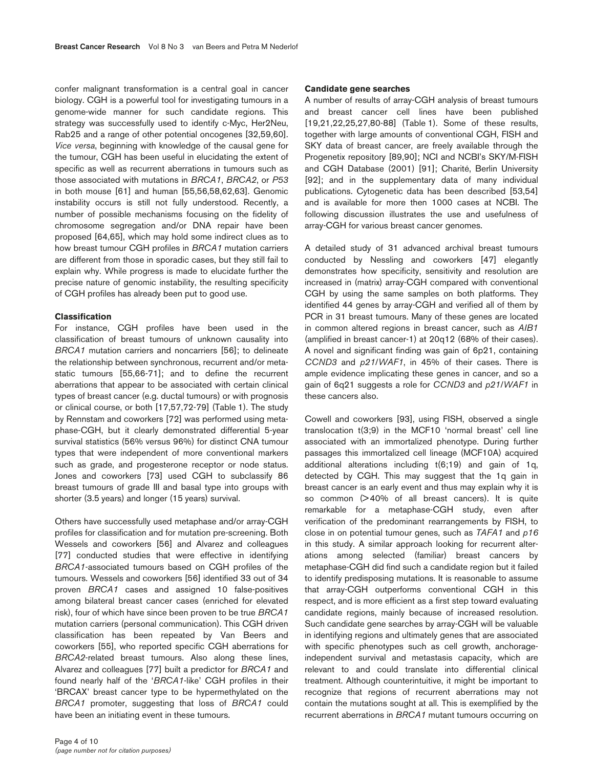confer malignant transformation is a central goal in cancer biology. CGH is a powerful tool for investigating tumours in a genome-wide manner for such candidate regions. This strategy was successfully used to identify c-Myc, Her2Neu, Rab25 and a range of other potential oncogenes [32,59,60]. *Vice versa*, beginning with knowledge of the causal gene for the tumour, CGH has been useful in elucidating the extent of specific as well as recurrent aberrations in tumours such as those associated with mutations in *BRCA1*, *BRCA2*, or *P53* in both mouse [61] and human [55,56,58,62,63]. Genomic instability occurs is still not fully understood. Recently, a number of possible mechanisms focusing on the fidelity of chromosome segregation and/or DNA repair have been proposed [64,65], which may hold some indirect clues as to how breast tumour CGH profiles in *BRCA1* mutation carriers are different from those in sporadic cases, but they still fail to explain why. While progress is made to elucidate further the precise nature of genomic instability, the resulting specificity of CGH profiles has already been put to good use.

### **Classification**

For instance, CGH profiles have been used in the classification of breast tumours of unknown causality into *BRCA1* mutation carriers and noncarriers [56]; to delineate the relationship between synchronous, recurrent and/or metastatic tumours [55,66-71]; and to define the recurrent aberrations that appear to be associated with certain clinical types of breast cancer (e.g. ductal tumours) or with prognosis or clinical course, or both [17,57,72-79] (Table 1). The study by Rennstam and coworkers [72] was performed using metaphase-CGH, but it clearly demonstrated differential 5-year survival statistics (56% versus 96%) for distinct CNA tumour types that were independent of more conventional markers such as grade, and progesterone receptor or node status. Jones and coworkers [73] used CGH to subclassify 86 breast tumours of grade III and basal type into groups with shorter (3.5 years) and longer (15 years) survival.

Others have successfully used metaphase and/or array-CGH profiles for classification and for mutation pre-screening. Both Wessels and coworkers [56] and Alvarez and colleagues [77] conducted studies that were effective in identifying *BRCA1*-associated tumours based on CGH profiles of the tumours. Wessels and coworkers [56] identified 33 out of 34 proven *BRCA1* cases and assigned 10 false-positives among bilateral breast cancer cases (enriched for elevated risk), four of which have since been proven to be true *BRCA1* mutation carriers (personal communication). This CGH driven classification has been repeated by Van Beers and coworkers [55], who reported specific CGH aberrations for *BRCA2*-related breast tumours. Also along these lines, Alvarez and colleagues [77] built a predictor for *BRCA1* and found nearly half of the '*BRCA1*-like' CGH profiles in their 'BRCAX' breast cancer type to be hypermethylated on the *BRCA1* promoter, suggesting that loss of *BRCA1* could have been an initiating event in these tumours.

#### **Candidate gene searches**

A number of results of array-CGH analysis of breast tumours and breast cancer cell lines have been published [19,21,22,25,27,80-88] (Table 1). Some of these results, together with large amounts of conventional CGH, FISH and SKY data of breast cancer, are freely available through the Progenetix repository [89,90]; NCI and NCBI's SKY/M-FISH and CGH Database (2001) [91]; Charité, Berlin University [92]; and in the supplementary data of many individual publications. Cytogenetic data has been described [53,54] and is available for more then 1000 cases at NCBI. The following discussion illustrates the use and usefulness of array-CGH for various breast cancer genomes.

A detailed study of 31 advanced archival breast tumours conducted by Nessling and coworkers [47] elegantly demonstrates how specificity, sensitivity and resolution are increased in (matrix) array-CGH compared with conventional CGH by using the same samples on both platforms. They identified 44 genes by array-CGH and verified all of them by PCR in 31 breast tumours. Many of these genes are located in common altered regions in breast cancer, such as *AIB1* (amplified in breast cancer-1) at 20q12 (68% of their cases). A novel and significant finding was gain of 6p21, containing *CCND3* and *p21*/*WAF1*, in 45% of their cases. There is ample evidence implicating these genes in cancer, and so a gain of 6q21 suggests a role for *CCND3* and *p21*/*WAF1* in these cancers also.

Cowell and coworkers [93], using FISH, observed a single translocation t(3;9) in the MCF10 'normal breast' cell line associated with an immortalized phenotype. During further passages this immortalized cell lineage (MCF10A) acquired additional alterations including t(6;19) and gain of 1q, detected by CGH. This may suggest that the 1q gain in breast cancer is an early event and thus may explain why it is so common  $($ >40% of all breast cancers). It is quite remarkable for a metaphase-CGH study, even after verification of the predominant rearrangements by FISH, to close in on potential tumour genes, such as *TAFA1* and *p16* in this study. A similar approach looking for recurrent alterations among selected (familiar) breast cancers by metaphase-CGH did find such a candidate region but it failed to identify predisposing mutations. It is reasonable to assume that array-CGH outperforms conventional CGH in this respect, and is more efficient as a first step toward evaluating candidate regions, mainly because of increased resolution. Such candidate gene searches by array-CGH will be valuable in identifying regions and ultimately genes that are associated with specific phenotypes such as cell growth, anchorageindependent survival and metastasis capacity, which are relevant to and could translate into differential clinical treatment. Although counterintuitive, it might be important to recognize that regions of recurrent aberrations may not contain the mutations sought at all. This is exemplified by the recurrent aberrations in *BRCA1* mutant tumours occurring on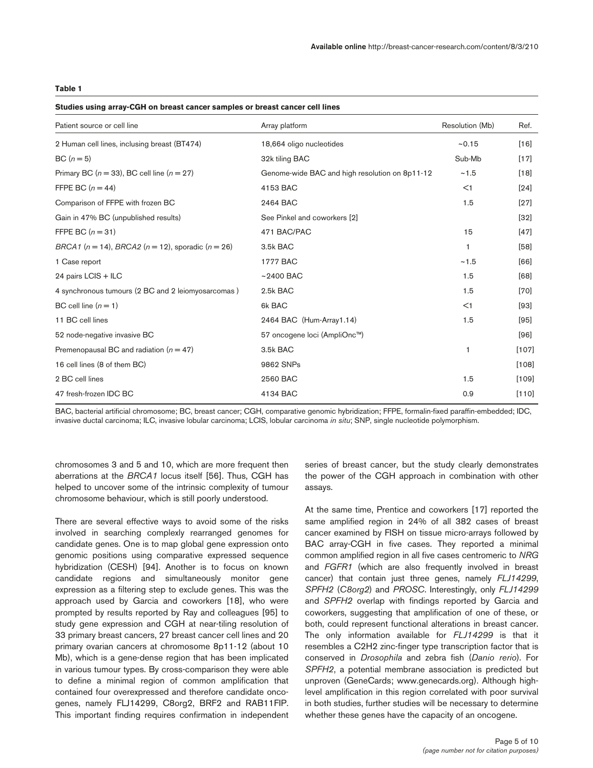### **Table 1**

| Studies using array-CGH on breast cancer samples or breast cancer cell lines |  |  |  |  |
|------------------------------------------------------------------------------|--|--|--|--|
|------------------------------------------------------------------------------|--|--|--|--|

| Patient source or cell line                                   | Array platform                                 | Resolution (Mb) | Ref.    |
|---------------------------------------------------------------|------------------------------------------------|-----------------|---------|
| 2 Human cell lines, inclusing breast (BT474)                  | 18,664 oligo nucleotides                       | ~15             | $[16]$  |
| $BC(n=5)$                                                     | 32k tiling BAC                                 | Sub-Mb          | $[17]$  |
| Primary BC ( $n = 33$ ), BC cell line ( $n = 27$ )            | Genome-wide BAC and high resolution on 8p11-12 | ~1.5            | $[18]$  |
| FFPE BC $(n = 44)$                                            | 4153 BAC                                       | <1              | [24]    |
| Comparison of FFPE with frozen BC                             | 2464 BAC                                       | 1.5             | $[27]$  |
| Gain in 47% BC (unpublished results)                          | See Pinkel and coworkers [2]                   |                 | $[32]$  |
| FFPE BC $(n = 31)$                                            | 471 BAC/PAC                                    | 15              | $[47]$  |
| BRCA1 ( $n = 14$ ), BRCA2 ( $n = 12$ ), sporadic ( $n = 26$ ) | 3.5k BAC                                       | 1               | [58]    |
| 1 Case report                                                 | 1777 BAC                                       | ~1.5            | [66]    |
| 24 pairs LCIS + ILC                                           | $~2400$ BAC                                    | 1.5             | [68]    |
| 4 synchronous tumours (2 BC and 2 leiomyosarcomas)            | 2.5k BAC                                       | 1.5             | $[70]$  |
| BC cell line $(n = 1)$                                        | 6k BAC                                         | $<$ 1           | [93]    |
| 11 BC cell lines                                              | 2464 BAC (Hum-Array1.14)                       | 1.5             | $[95]$  |
| 52 node-negative invasive BC                                  | 57 oncogene loci (AmpliOnc™)                   |                 | $[96]$  |
| Premenopausal BC and radiation $(n = 47)$                     | 3.5k BAC                                       | 1               | $[107]$ |
| 16 cell lines (8 of them BC)                                  | 9862 SNPs                                      |                 | $[108]$ |
| 2 BC cell lines                                               | 2560 BAC                                       | 1.5             | $[109]$ |
| 47 fresh-frozen IDC BC                                        | 4134 BAC                                       | 0.9             | $[110]$ |

BAC, bacterial artificial chromosome; BC, breast cancer; CGH, comparative genomic hybridization; FFPE, formalin-fixed paraffin-embedded; IDC, invasive ductal carcinoma; ILC, invasive lobular carcinoma; LCIS, lobular carcinoma *in situ*; SNP, single nucleotide polymorphism.

chromosomes 3 and 5 and 10, which are more frequent then aberrations at the *BRCA1* locus itself [56]. Thus, CGH has helped to uncover some of the intrinsic complexity of tumour chromosome behaviour, which is still poorly understood.

There are several effective ways to avoid some of the risks involved in searching complexly rearranged genomes for candidate genes. One is to map global gene expression onto genomic positions using comparative expressed sequence hybridization (CESH) [94]. Another is to focus on known candidate regions and simultaneously monitor gene expression as a filtering step to exclude genes. This was the approach used by Garcia and coworkers [18], who were prompted by results reported by Ray and colleagues [95] to study gene expression and CGH at near-tiling resolution of 33 primary breast cancers, 27 breast cancer cell lines and 20 primary ovarian cancers at chromosome 8p11-12 (about 10 Mb), which is a gene-dense region that has been implicated in various tumour types. By cross-comparison they were able to define a minimal region of common amplification that contained four overexpressed and therefore candidate oncogenes, namely FLJ14299, C8org2, BRF2 and RAB11FIP. This important finding requires confirmation in independent

series of breast cancer, but the study clearly demonstrates the power of the CGH approach in combination with other assays.

At the same time, Prentice and coworkers [17] reported the same amplified region in 24% of all 382 cases of breast cancer examined by FISH on tissue micro-arrays followed by BAC array-CGH in five cases. They reported a minimal common amplified region in all five cases centromeric to *NRG* and *FGFR1* (which are also frequently involved in breast cancer) that contain just three genes, namely *FLJ14299*, *SPFH2* (*C8org2*) and *PROSC*. Interestingly, only *FLJ14299* and *SPFH2* overlap with findings reported by Garcia and coworkers, suggesting that amplification of one of these, or both, could represent functional alterations in breast cancer. The only information available for *FLJ14299* is that it resembles a C2H2 zinc-finger type transcription factor that is conserved in *Drosophila* and zebra fish (*Danio rerio*). For *SPFH2*, a potential membrane association is predicted but unproven (GeneCards; www.genecards.org). Although highlevel amplification in this region correlated with poor survival in both studies, further studies will be necessary to determine whether these genes have the capacity of an oncogene.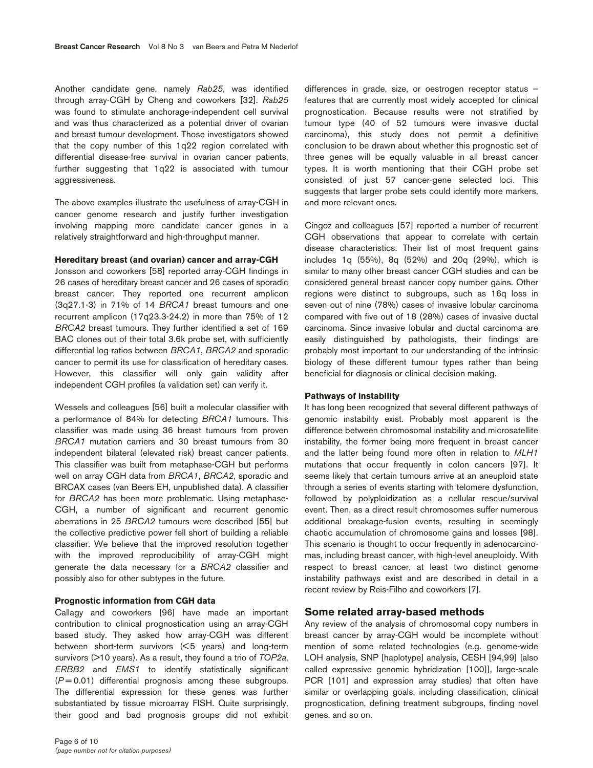Another candidate gene, namely *Rab25*, was identified through array-CGH by Cheng and coworkers [32]. *Rab25* was found to stimulate anchorage-independent cell survival and was thus characterized as a potential driver of ovarian and breast tumour development. Those investigators showed that the copy number of this 1q22 region correlated with differential disease-free survival in ovarian cancer patients, further suggesting that 1q22 is associated with tumour aggressiveness.

The above examples illustrate the usefulness of array-CGH in cancer genome research and justify further investigation involving mapping more candidate cancer genes in a relatively straightforward and high-throughput manner.

### **Hereditary breast (and ovarian) cancer and array-CGH**

Jonsson and coworkers [58] reported array-CGH findings in 26 cases of hereditary breast cancer and 26 cases of sporadic breast cancer. They reported one recurrent amplicon (3q27.1-3) in 71% of 14 *BRCA1* breast tumours and one recurrent amplicon (17q23.3-24.2) in more than 75% of 12 *BRCA2* breast tumours. They further identified a set of 169 BAC clones out of their total 3.6k probe set, with sufficiently differential log ratios between *BRCA1*, *BRCA2* and sporadic cancer to permit its use for classification of hereditary cases. However, this classifier will only gain validity after independent CGH profiles (a validation set) can verify it.

Wessels and colleagues [56] built a molecular classifier with a performance of 84% for detecting *BRCA1* tumours. This classifier was made using 36 breast tumours from proven *BRCA1* mutation carriers and 30 breast tumours from 30 independent bilateral (elevated risk) breast cancer patients. This classifier was built from metaphase-CGH but performs well on array CGH data from *BRCA1*, *BRCA2*, sporadic and BRCAX cases (van Beers EH, unpublished data). A classifier for *BRCA2* has been more problematic. Using metaphase-CGH, a number of significant and recurrent genomic aberrations in 25 *BRCA2* tumours were described [55] but the collective predictive power fell short of building a reliable classifier. We believe that the improved resolution together with the improved reproducibility of array-CGH might generate the data necessary for a *BRCA2* classifier and possibly also for other subtypes in the future.

### **Prognostic information from CGH data**

Callagy and coworkers [96] have made an important contribution to clinical prognostication using an array-CGH based study. They asked how array-CGH was different between short-term survivors (< 5 years) and long-term survivors (>10 years). As a result, they found a trio of *TOP2a*, *ERBB2* and *EMS1* to identify statistically significant (*P* = 0.01) differential prognosis among these subgroups. The differential expression for these genes was further substantiated by tissue microarray FISH. Quite surprisingly, their good and bad prognosis groups did not exhibit

differences in grade, size, or oestrogen receptor status – features that are currently most widely accepted for clinical prognostication. Because results were not stratified by tumour type (40 of 52 tumours were invasive ductal carcinoma), this study does not permit a definitive conclusion to be drawn about whether this prognostic set of three genes will be equally valuable in all breast cancer types. It is worth mentioning that their CGH probe set consisted of just 57 cancer-gene selected loci. This suggests that larger probe sets could identify more markers, and more relevant ones.

Cingoz and colleagues [57] reported a number of recurrent CGH observations that appear to correlate with certain disease characteristics. Their list of most frequent gains includes 1q (55%), 8q (52%) and 20q (29%), which is similar to many other breast cancer CGH studies and can be considered general breast cancer copy number gains. Other regions were distinct to subgroups, such as 16q loss in seven out of nine (78%) cases of invasive lobular carcinoma compared with five out of 18 (28%) cases of invasive ductal carcinoma. Since invasive lobular and ductal carcinoma are easily distinguished by pathologists, their findings are probably most important to our understanding of the intrinsic biology of these different tumour types rather than being beneficial for diagnosis or clinical decision making.

#### **Pathways of instability**

It has long been recognized that several different pathways of genomic instability exist. Probably most apparent is the difference between chromosomal instability and microsatellite instability, the former being more frequent in breast cancer and the latter being found more often in relation to *MLH1* mutations that occur frequently in colon cancers [97]. It seems likely that certain tumours arrive at an aneuploid state through a series of events starting with telomere dysfunction, followed by polyploidization as a cellular rescue/survival event. Then, as a direct result chromosomes suffer numerous additional breakage-fusion events, resulting in seemingly chaotic accumulation of chromosome gains and losses [98]. This scenario is thought to occur frequently in adenocarcinomas, including breast cancer, with high-level aneuploidy. With respect to breast cancer, at least two distinct genome instability pathways exist and are described in detail in a recent review by Reis-Filho and coworkers [7].

### **Some related array-based methods**

Any review of the analysis of chromosomal copy numbers in breast cancer by array-CGH would be incomplete without mention of some related technologies (e.g. genome-wide LOH analysis, SNP [haplotype] analysis, CESH [94,99] [also called expressive genomic hybridization [100]], large-scale PCR [101] and expression array studies) that often have similar or overlapping goals, including classification, clinical prognostication, defining treatment subgroups, finding novel genes, and so on.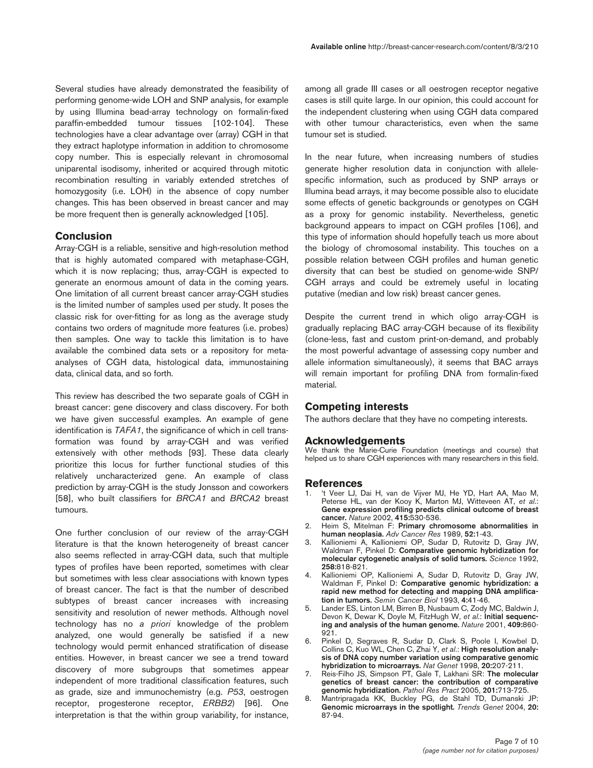Several studies have already demonstrated the feasibility of performing genome-wide LOH and SNP analysis, for example by using Illumina bead-array technology on formalin-fixed paraffin-embedded tumour tissues [102-104]. These technologies have a clear advantage over (array) CGH in that they extract haplotype information in addition to chromosome copy number. This is especially relevant in chromosomal uniparental isodisomy, inherited or acquired through mitotic recombination resulting in variably extended stretches of homozygosity (i.e. LOH) in the absence of copy number changes. This has been observed in breast cancer and may be more frequent then is generally acknowledged [105].

# **Conclusion**

Array-CGH is a reliable, sensitive and high-resolution method that is highly automated compared with metaphase-CGH, which it is now replacing; thus, array-CGH is expected to generate an enormous amount of data in the coming years. One limitation of all current breast cancer array-CGH studies is the limited number of samples used per study. It poses the classic risk for over-fitting for as long as the average study contains two orders of magnitude more features (i.e. probes) then samples. One way to tackle this limitation is to have available the combined data sets or a repository for metaanalyses of CGH data, histological data, immunostaining data, clinical data, and so forth.

This review has described the two separate goals of CGH in breast cancer: gene discovery and class discovery. For both we have given successful examples. An example of gene identification is *TAFA1*, the significance of which in cell transformation was found by array-CGH and was verified extensively with other methods [93]. These data clearly prioritize this locus for further functional studies of this relatively uncharacterized gene. An example of class prediction by array-CGH is the study Jonsson and coworkers [58], who built classifiers for *BRCA1* and *BRCA2* breast tumours.

One further conclusion of our review of the array-CGH literature is that the known heterogeneity of breast cancer also seems reflected in array-CGH data, such that multiple types of profiles have been reported, sometimes with clear but sometimes with less clear associations with known types of breast cancer. The fact is that the number of described subtypes of breast cancer increases with increasing sensitivity and resolution of newer methods. Although novel technology has no *a priori* knowledge of the problem analyzed, one would generally be satisfied if a new technology would permit enhanced stratification of disease entities. However, in breast cancer we see a trend toward discovery of more subgroups that sometimes appear independent of more traditional classification features, such as grade, size and immunochemistry (e.g. *P53*, oestrogen receptor, progesterone receptor, *ERBB2*) [96]. One interpretation is that the within group variability, for instance,

among all grade III cases or all oestrogen receptor negative cases is still quite large. In our opinion, this could account for the independent clustering when using CGH data compared with other tumour characteristics, even when the same tumour set is studied.

In the near future, when increasing numbers of studies generate higher resolution data in conjunction with allelespecific information, such as produced by SNP arrays or Illumina bead arrays, it may become possible also to elucidate some effects of genetic backgrounds or genotypes on CGH as a proxy for genomic instability. Nevertheless, genetic background appears to impact on CGH profiles [106], and this type of information should hopefully teach us more about the biology of chromosomal instability. This touches on a possible relation between CGH profiles and human genetic diversity that can best be studied on genome-wide SNP/ CGH arrays and could be extremely useful in locating putative (median and low risk) breast cancer genes.

Despite the current trend in which oligo array-CGH is gradually replacing BAC array-CGH because of its flexibility (clone-less, fast and custom print-on-demand, and probably the most powerful advantage of assessing copy number and allele information simultaneously), it seems that BAC arrays will remain important for profiling DNA from formalin-fixed material.

### **Competing interests**

The authors declare that they have no competing interests.

#### **Acknowledgements**

We thank the Marie-Curie Foundation (meetings and course) that helped us to share CGH experiences with many researchers in this field.

### **References**

- 1. 't Veer LJ, Dai H, van de Vijver MJ, He YD, Hart AA, Mao M, Peterse HL, van der Kooy K, Marton MJ, Witteveen AT, *et al*.: **Gene expression profiling predicts clinical outcome of breast cancer.** *Nature* 2002, **415:**530-536.
- 2. Heim S, Mitelman F: **Primary chromosome abnormalities in human neoplasia.** *Adv Cancer Res* 1989, **52:**1-43.
- 3. Kallioniemi A, Kallioniemi OP, Sudar D, Rutovitz D, Gray JW, Waldman F, Pinkel D: **Comparative genomic hybridization for molecular cytogenetic analysis of solid tumors.** *Science* 1992, **258:**818-821.
- 4. Kallioniemi OP, Kallioniemi A, Sudar D, Rutovitz D, Gray JW, Waldman F, Pinkel D: **Comparative genomic hybridization: a rapid new method for detecting and mapping DNA amplification in tumors.** *Semin Cancer Biol* 1993, **4:**41-46.
- 5. Lander ES, Linton LM, Birren B, Nusbaum C, Zody MC, Baldwin J, Devon K, Dewar K, Doyle M, FitzHugh W, *et al*.: **Initial sequencing and analysis of the human genome.** *Nature* 2001, **409:**860- 921.
- 6. Pinkel D, Segraves R, Sudar D, Clark S, Poole I, Kowbel D, Collins C, Kuo WL, Chen C, Zhai Y, *et al*.: **High resolution analysis of DNA copy number variation using comparative genomic hybridization to microarrays.** *Nat Genet* 1998, **20:**207-211.
- 7. Reis-Filho JS, Simpson PT, Gale T, Lakhani SR: **The molecular genetics of breast cancer: the contribution of comparative genomic hybridization.** *Pathol Res Pract* 2005, **201:**713-725.
- 8. Mantripragada KK, Buckley PG, de Stahl TD, Dumanski JP: **Genomic microarrays in the spotlight.** *Trends Genet* 2004, **20:** 87-94.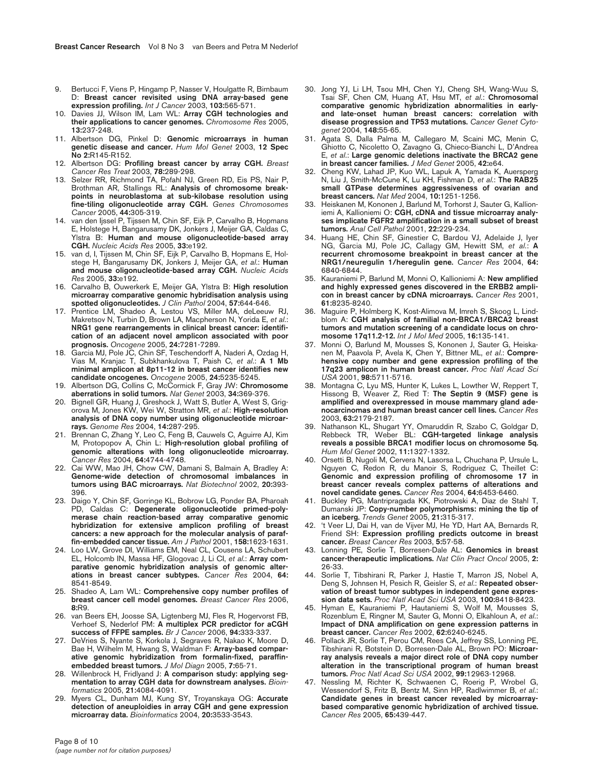- Bertucci F, Viens P, Hingamp P, Nasser V, Houlgatte R, Birnbaum D: **Breast cancer revisited using DNA array-based gene expression profiling.** *Int J Cancer* 2003, **103:**565-571.
- 10. Davies JJ, Wilson IM, Lam WL: **Array CGH technologies and their applications to cancer genomes.** *Chromosome Res* 2005, **13:**237-248.
- 11. Albertson DG, Pinkel D: **Genomic microarrays in human genetic disease and cancer.** *Hum Mol Genet* 2003, **12 Spec No 2:**R145-R152.
- 12. Albertson DG: **Profiling breast cancer by array CGH.** *Breast Cancer Res Treat* 2003, **78:**289-298.
- 13. Selzer RR, Richmond TA, Pofahl NJ, Green RD, Eis PS, Nair P, Brothman AR, Stallings RL: **Analysis of chromosome breakpoints in neuroblastoma at sub-kilobase resolution using fine-tiling oligonucleotide array CGH.** *Genes Chromosomes Cancer* 2005, **44:**305-319.
- 14. van den Ijssel P, Tijssen M, Chin SF, Eijk P, Carvalho B, Hopmans E, Holstege H, Bangarusamy DK, Jonkers J, Meijer GA, Caldas C, Ylstra B: **Human and mouse oligonucleotide-based array CGH.** *Nucleic Acids Res* 2005, **33:**e192.
- 15. van d, I, Tijssen M, Chin SF, Eijk P, Carvalho B, Hopmans E, Holstege H, Bangarusamy DK, Jonkers J, Meijer GA, *et al*.: **Human and mouse oligonucleotide-based array CGH.** *Nucleic Acids Res* 2005, **33:**e192.
- 16. Carvalho B, Ouwerkerk E, Meijer GA, Ylstra B: **High resolution microarray comparative genomic hybridisation analysis using spotted oligonucleotides.** *J Clin Pathol* 2004, **57:**644-646.
- 17. Prentice LM, Shadeo A, Lestou VS, Miller MA, deLeeuw RJ, Makretsov N, Turbin D, Brown LA, Macpherson N, Yorida E, *et al*.: **NRG1 gene rearrangements in clinical breast cancer: identification of an adjacent novel amplicon associated with poor prognosis.** *Oncogene* 2005, **24:**7281-7289.
- 18. Garcia MJ, Pole JC, Chin SF, Teschendorff A, Naderi A, Ozdag H, Vias M, Kranjac T, Subkhankulova T, Paish C, *et al*.: **A 1 Mb minimal amplicon at 8p11-12 in breast cancer identifies new candidate oncogenes.** *Oncogene* 2005, **24:**5235-5245.
- 19. Albertson DG, Collins C, McCormick F, Gray JW: **Chromosome aberrations in solid tumors.** *Nat Genet* 2003, **34:**369-376.
- 20. Bignell GR, Huang J, Greshock J, Watt S, Butler A, West S, Grigorova M, Jones KW, Wei W, Stratton MR, *et al*.: **High-resolution analysis of DNA copy number using oligonucleotide microarrays.** *Genome Res* 2004, **14:**287-295.
- 21. Brennan C, Zhang Y, Leo C, Feng B, Cauwels C, Aguirre AJ, Kim M, Protopopov A, Chin L: **High-resolution global profiling of genomic alterations with long oligonucleotide microarray.** *Cancer Res* 2004, **64:**4744-4748.
- 22. Cai WW, Mao JH, Chow CW, Damani S, Balmain A, Bradley A: **Genome-wide detection of chromosomal imbalances in tumors using BAC microarrays.** *Nat Biotechnol* 2002, **20:**393- 396.
- 23. Daigo Y, Chin SF, Gorringe KL, Bobrow LG, Ponder BA, Pharoah PD, Caldas C: **Degenerate oligonucleotide primed-polymerase chain reaction-based array comparative genomic hybridization for extensive amplicon profiling of breast cancers: a new approach for the molecular analysis of paraffin-embedded cancer tissue.** *Am J Pathol* 2001, **158:**1623-1631.
- 24. Loo LW, Grove DI, Williams EM, Neal CL, Cousens LA, Schubert EL, Holcomb IN, Massa HF, Glogovac J, Li CI, *et al*.: **Array comparative genomic hybridization analysis of genomic alterations in breast cancer subtypes.** *Cancer Res* 2004, **64:** 8541-8549.
- 25. Shadeo A, Lam WL: **Comprehensive copy number profiles of breast cancer cell model genomes.** *Breast Cancer Res* 2006, **8:**R9.
- 26. van Beers EH, Joosse SA, Ligtenberg MJ, Fles R, Hogervorst FB, Verhoef S, Nederlof PM: **A multiplex PCR predictor for aCGH success of FFPE samples.** *Br J Cancer* 2006, **94:**333-337.
- 27. DeVries S, Nyante S, Korkola J, Segraves R, Nakao K, Moore D, Bae H, Wilhelm M, Hwang S, Waldman F: **Array-based comparative genomic hybridization from formalin-fixed, paraffinembedded breast tumors.** *J Mol Diagn* 2005, **7:**65-71.
- 28. Willenbrock H, Fridlyand J: **A comparison study: applying segmentation to array CGH data for downstream analyses.** *Bioinformatics* 2005, **21:**4084-4091.
- 29. Myers CL, Dunham MJ, Kung SY, Troyanskaya OG: **Accurate detection of aneuploidies in array CGH and gene expression microarray data.** *Bioinformatics* 2004, **20:**3533-3543.
- 30. Jong YJ, Li LH, Tsou MH, Chen YJ, Cheng SH, Wang-Wuu S, Tsai SF, Chen CM, Huang AT, Hsu MT, *et al*.: **Chromosomal comparative genomic hybridization abnormalities in earlyand late-onset human breast cancers: correlation with disease progression and TP53 mutations.** *Cancer Genet Cytogenet* 2004, **148:**55-65.
- 31. Agata S, Dalla Palma M, Callegaro M, Scaini MC, Menin C, Ghiotto C, Nicoletto O, Zavagno G, Chieco-Bianchi L, D'Andrea E, *et al*.: **Large genomic deletions inactivate the BRCA2 gene in breast cancer families.** *J Med Genet* 2005, **42:**e64.
- 32. Cheng KW, Lahad JP, Kuo WL, Lapuk A, Yamada K, Auersperg N, Liu J, Smith-McCune K, Lu KH, Fishman D, *et al*.: **The RAB25 small GTPase determines aggressiveness of ovarian and breast cancers.** *Nat Med* 2004, **10:**1251-1256.
- 33. Heiskanen M, Kononen J, Barlund M, Torhorst J, Sauter G, Kallioniemi A, Kallioniemi O: **CGH, cDNA and tissue microarray analyses implicate FGFR2 amplification in a small subset of breast tumors.** *Anal Cell Pathol* 2001, **22:**229-234.
- Huang HE, Chin SF, Ginestier C, Bardou VJ, Adelaide J, Iyer NG, Garcia MJ, Pole JC, Callagy GM, Hewitt SM, *et al*.: **A recurrent chromosome breakpoint in breast cancer at the NRG1/neuregulin 1/heregulin gene.** *Cancer Res* 2004, **64:** 6840-6844.
- 35. Kauraniemi P, Barlund M, Monni O, Kallioniemi A: **New amplified and highly expressed genes discovered in the ERBB2 amplicon in breast cancer by cDNA microarrays.** *Cancer Res* 2001, **61:**8235-8240.
- 36. Maguire P, Holmberg K, Kost-Alimova M, Imreh S, Skoog L, Lindblom A: **CGH analysis of familial non-BRCA1/BRCA2 breast tumors and mutation screening of a candidate locus on chromosome 17q11.2-12.** *Int J Mol Med* 2005, **16:**135-141.
- 37. Monni O, Barlund M, Mousses S, Kononen J, Sauter G, Heiskanen M, Paavola P, Avela K, Chen Y, Bittner ML, *et al*.: **Comprehensive copy number and gene expression profiling of the 17q23 amplicon in human breast cancer.** *Proc Natl Acad Sci USA* 2001, **98:**5711-5716.
- 38. Montagna C, Lyu MS, Hunter K, Lukes L, Lowther W, Reppert T, Hissong B, Weaver Z, Ried T: **The Septin 9 (MSF) gene is amplified and overexpressed in mouse mammary gland adenocarcinomas and human breast cancer cell lines.** *Cancer Res* 2003, **63:**2179-2187.
- 39. Nathanson KL, Shugart YY, Omaruddin R, Szabo C, Goldgar D, Rebbeck TR, Weber BL: **CGH-targeted linkage analysis reveals a possible BRCA1 modifier locus on chromosome 5q.** *Hum Mol Genet* 2002, **11:**1327-1332.
- 40. Orsetti B, Nugoli M, Cervera N, Lasorsa L, Chuchana P, Ursule L, Nguyen C, Redon R, du Manoir S, Rodriguez C, Theillet C: **Genomic and expression profiling of chromosome 17 in breast cancer reveals complex patterns of alterations and novel candidate genes.** *Cancer Res* 2004, **64:**6453-6460.
- 41. Buckley PG, Mantripragada KK, Piotrowski A, Diaz de Stahl T, Dumanski JP: **Copy-number polymorphisms: mining the tip of an iceberg.** *Trends Genet* 2005, **21:**315-317.
- 42. 't Veer LJ, Dai H, van de Vijver MJ, He YD, Hart AA, Bernards R, Friend SH: **Expression profiling predicts outcome in breast cancer.** *Breast Cancer Res* 2003, **5:**57-58.
- 43. Lonning PE, Sorlie T, Borresen-Dale AL: **Genomics in breast cancer-therapeutic implications.** *Nat Clin Pract Oncol* 2005, **2:** 26-33.
- 44. Sorlie T, Tibshirani R, Parker J, Hastie T, Marron JS, Nobel A, Deng S, Johnsen H, Pesich R, Geisler S, *et al*.: **Repeated observation of breast tumor subtypes in independent gene expression data sets.** *Proc Natl Acad Sci USA* 2003, **100:**8418-8423.
- 45. Hyman E, Kauraniemi P, Hautaniemi S, Wolf M, Mousses S, Rozenblum E, Ringner M, Sauter G, Monni O, Elkahloun A, *et al*.: **Impact of DNA amplification on gene expression patterns in breast cancer.** *Cancer Res* 2002, **62:**6240-6245.
- 46. Pollack JR, Sorlie T, Perou CM, Rees CA, Jeffrey SS, Lonning PE, Tibshirani R, Botstein D, Borresen-Dale AL, Brown PO: **Microarray analysis reveals a major direct role of DNA copy number alteration in the transcriptional program of human breast tumors.** *Proc Natl Acad Sci USA* 2002, **99:**12963-12968.
- 47. Nessling M, Richter K, Schwaenen C, Roerig P, Wrobel G, Wessendorf S, Fritz B, Bentz M, Sinn HP, Radlwimmer B, *et al*.: **Candidate genes in breast cancer revealed by microarraybased comparative genomic hybridization of archived tissue.** *Cancer Res* 2005, **65:**439-447.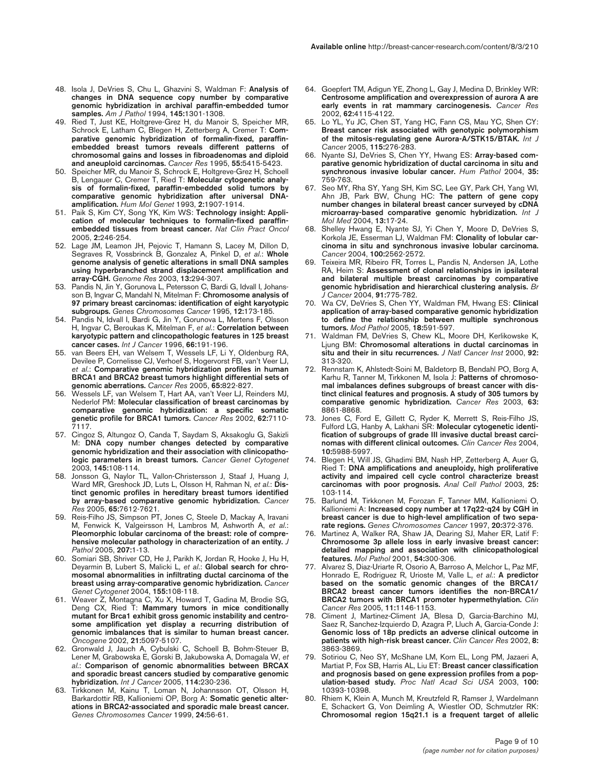- 48. Isola J, DeVries S, Chu L, Ghazvini S, Waldman F: **Analysis of changes in DNA sequence copy number by comparative genomic hybridization in archival paraffin-embedded tumor samples.** *Am J Pathol* 1994, **145:**1301-1308.
- 49. Ried T, Just KE, Holtgreve-Grez H, du Manoir S, Speicher MR, Schrock E, Latham C, Blegen H, Zetterberg A, Cremer T: **Comparative genomic hybridization of formalin-fixed, paraffinembedded breast tumors reveals different patterns of chromosomal gains and losses in fibroadenomas and diploid and aneuploid carcinomas.** *Cancer Res* 1995, **55:**5415-5423.
- 50. Speicher MR, du Manoir S, Schrock E, Holtgreve-Grez H, Schoell B, Lengauer C, Cremer T, Ried T: **Molecular cytogenetic analysis of formalin-fixed, paraffin-embedded solid tumors by comparative genomic hybridization after universal DNAamplification.** *Hum Mol Genet* 1993, **2:**1907-1914.
- 51. Paik S, Kim CY, Song YK, Kim WS: **Technology insight: Application of molecular techniques to formalin-fixed paraffinembedded tissues from breast cancer.** *Nat Clin Pract Oncol* 2005, **2:**246-254.
- 52. Lage JM, Leamon JH, Pejovic T, Hamann S, Lacey M, Dillon D, Segraves R, Vossbrinck B, Gonzalez A, Pinkel D, *et al*.: **Whole genome analysis of genetic alterations in small DNA samples using hyperbranched strand displacement amplification and array-CGH.** *Genome Res* 2003, **13:**294-307.
- 53. Pandis N, Jin Y, Gorunova L, Petersson C, Bardi G, Idvall I, Johansson B, Ingvar C, Mandahl N, Mitelman F: **Chromosome analysis of 97 primary breast carcinomas: identification of eight karyotypic subgroups.** *Genes Chromosomes Cancer* 1995, **12:**173-185.
- 54. Pandis N, Idvall I, Bardi G, Jin Y, Gorunova L, Mertens F, Olsson H, Ingvar C, Beroukas K, Mitelman F, *et al*.: **Correlation between karyotypic pattern and clincopathologic features in 125 breast cancer cases.** *Int J Cancer* 1996, **66:**191-196.
- 55. van Beers EH, van Welsem T, Wessels LF, Li Y, Oldenburg RA, Devilee P, Cornelisse CJ, Verhoef S, Hogervorst FB, van't Veer LJ, *et al*.: **Comparative genomic hybridization profiles in human BRCA1 and BRCA2 breast tumors highlight differential sets of genomic aberrations.** *Cancer Res* 2005, **65:**822-827.
- 56. Wessels LF, van Welsem T, Hart AA, van't Veer LJ, Reinders MJ, Nederlof PM: **Molecular classification of breast carcinomas by comparative genomic hybridization: a specific somatic genetic profile for BRCA1 tumors.** *Cancer Res* 2002, **62:**7110- 7117.
- 57. Cingoz S, Altungoz O, Canda T, Saydam S, Aksakoglu G, Sakizli M: **DNA copy number changes detected by comparative genomic hybridization and their association with clinicopathologic parameters in breast tumors.** *Cancer Genet Cytogenet* 2003, **145:**108-114.
- 58. Jonsson G, Naylor TL, Vallon-Christersson J, Staaf J, Huang J, Ward MR, Greshock JD, Luts L, Olsson H, Rahman N, et al.: Dis**tinct genomic profiles in hereditary breast tumors identified by array-based comparative genomic hybridization.** *Cancer Res* 2005, **65:**7612-7621.
- 59. Reis-Filho JS, Simpson PT, Jones C, Steele D, Mackay A, Iravani M, Fenwick K, Valgeirsson H, Lambros M, Ashworth A, *et al*.: **Pleomorphic lobular carcinoma of the breast: role of comprehensive molecular pathology in characterization of an entity.** *J Pathol* 2005, **207:**1-13.
- 60. Somiari SB, Shriver CD, He J, Parikh K, Jordan R, Hooke J, Hu H, Deyarmin B, Lubert S, Malicki L, *et al*.: **Global search for chromosomal abnormalities in infiltrating ductal carcinoma of the breast using array-comparative genomic hybridization.** *Cancer Genet Cytogenet* 2004, **155:**108-118.
- 61. Weaver Z, Montagna C, Xu X, Howard T, Gadina M, Brodie SG, Deng CX, Ried T: **Mammary tumors in mice conditionally mutant for Brca1 exhibit gross genomic instability and centrosome amplification yet display a recurring distribution of genomic imbalances that is similar to human breast cancer.** *Oncogene* 2002, **21:**5097-5107.
- 62. Gronwald J, Jauch A, Cybulski C, Schoell B, Bohm-Steuer B, Lener M, Grabowska E, Gorski B, Jakubowska A, Domagala W, *et al*.: **Comparison of genomic abnormalities between BRCAX and sporadic breast cancers studied by comparative genomic hybridization.** *Int J Cancer* 2005, **114:**230-236.
- 63. Tirkkonen M, Kainu T, Loman N, Johannsson OT, Olsson H, Barkardottir RB, Kallioniemi OP, Borg A: **Somatic genetic alterations in BRCA2-associated and sporadic male breast cancer.** *Genes Chromosomes Cancer* 1999, **24:**56-61.
- 64. Goepfert TM, Adigun YE, Zhong L, Gay J, Medina D, Brinkley WR: **Centrosome amplification and overexpression of aurora A are early events in rat mammary carcinogenesis.** *Cancer Res* 2002, **62:**4115-4122.
- 65. Lo YL, Yu JC, Chen ST, Yang HC, Fann CS, Mau YC, Shen CY: **Breast cancer risk associated with genotypic polymorphism of the mitosis-regulating gene Aurora-A/STK15/BTAK.** *Int J Cancer* 2005, **115:**276-283.
- 66. Nyante SJ, DeVries S, Chen YY, Hwang ES: **Array-based comparative genomic hybridization of ductal carcinoma in situ and synchronous invasive lobular cancer.** *Hum Pathol* 2004, **35:** 759-763.
- 67. Seo MY, Rha SY, Yang SH, Kim SC, Lee GY, Park CH, Yang WI, Ahn JB, Park BW, Chung HC: **The pattern of gene copy number changes in bilateral breast cancer surveyed by cDNA microarray-based comparative genomic hybridization.** *Int J Mol Med* 2004, **13:**17-24.
- 68. Shelley Hwang E, Nyante SJ, Yi Chen Y, Moore D, DeVries S, Korkola JE, Esserman LJ, Waldman FM: **Clonality of lobular carcinoma in situ and synchronous invasive lobular carcinoma.** *Cancer* 2004, **100:**2562-2572.
- 69. Teixeira MR, Ribeiro FR, Torres L, Pandis N, Andersen JA, Lothe RA, Heim S: **Assessment of clonal relationships in ipsilateral and bilateral multiple breast carcinomas by comparative genomic hybridisation and hierarchical clustering analysis.** *Br J Cancer* 2004, **91:**775-782.
- 70. Wa CV, DeVries S, Chen YY, Waldman FM, Hwang ES: **Clinical application of array-based comparative genomic hybridization to define the relationship between multiple synchronous tumors.** *Mod Pathol* 2005, **18:**591-597.
- 71. Waldman FM, DeVries S, Chew KL, Moore DH, Kerlikowske K, Ljung BM: **Chromosomal alterations in ductal carcinomas in situ and their in situ recurrences.** *J Natl Cancer Inst* 2000, **92:** 313-320.
- 72. Rennstam K, Ahlstedt-Soini M, Baldetorp B, Bendahl PO, Borg A, Karhu R, Tanner M, Tirkkonen M, Isola J: **Patterns of chromosomal imbalances defines subgroups of breast cancer with distinct clinical features and prognosis. A study of 305 tumors by comparative genomic hybridization.** *Cancer Res* 2003, **63:** 8861-8868.
- 73. Jones C, Ford E, Gillett C, Ryder K, Merrett S, Reis-Filho JS, Fulford LG, Hanby A, Lakhani SR: **Molecular cytogenetic identification of subgroups of grade III invasive ductal breast carcinomas with different clinical outcomes.** *Clin Cancer Res* 2004, **10:**5988-5997.
- 74. Blegen H, Will JS, Ghadimi BM, Nash HP, Zetterberg A, Auer G, Ried T: **DNA amplifications and aneuploidy, high proliferative activity and impaired cell cycle control characterize breast carcinomas with poor prognosis.** *Anal Cell Pathol* 2003, **25:** 103-114.
- 75. Barlund M, Tirkkonen M, Forozan F, Tanner MM, Kallioniemi O, Kallioniemi A: **Increased copy number at 17q22-q24 by CGH in breast cancer is due to high-level amplification of two separate regions.** *Genes Chromosomes Cancer* 1997, **20:**372-376.
- 76. Martinez A, Walker RA, Shaw JA, Dearing SJ, Maher ER, Latif F: **Chromosome 3p allele loss in early invasive breast cancer: detailed mapping and association with clinicopathological features.** *Mol Pathol* 2001, **54:**300-306.
- 77. Alvarez S, Diaz-Uriarte R, Osorio A, Barroso A, Melchor L, Paz MF, Honrado E, Rodriguez R, Urioste M, Valle L, *et al*.: **A predictor based on the somatic genomic changes of the BRCA1/ BRCA2 breast cancer tumors identifies the non-BRCA1/ BRCA2 tumors with BRCA1 promoter hypermethylation.** *Clin Cancer Res* 2005, **11:**1146-1153.
- 78. Climent J, Martinez-Climent JA, Blesa D, Garcia-Barchino MJ, Saez R, Sanchez-Izquierdo D, Azagra P, Lluch A, Garcia-Conde J: **Genomic loss of 18p predicts an adverse clinical outcome in patients with high-risk breast cancer.** *Clin Cancer Res* 2002, **8:** 3863-3869.
- 79. Sotiriou C, Neo SY, McShane LM, Korn EL, Long PM, Jazaeri A, Martiat P, Fox SB, Harris AL, Liu ET: **Breast cancer classification and prognosis based on gene expression profiles from a population-based study.** *Proc Natl Acad Sci USA* 2003, **100:** 10393-10398.
- 80. Rhiem K, Klein A, Munch M, Kreutzfeld R, Ramser J, Wardelmann E, Schackert G, Von Deimling A, Wiestler OD, Schmutzler RK: **Chromosomal region 15q21.1 is a frequent target of allelic**